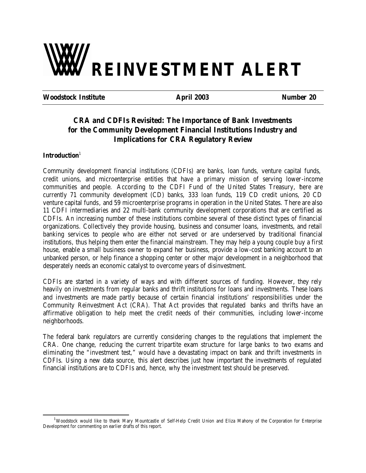# **REINVESTMENT ALERT**

**Woodstock Institute April 2003 Number 20**

# **CRA and CDFIs Revisited: The Importance of Bank Investments for the Community Development Financial Institutions Industry and Implications for CRA Regulatory Review**

# Introduction<sup>1</sup>

l

Community development financial institutions (CDFIs) are banks, loan funds, venture capital funds, credit unions, and microenterprise entities that have a primary mission of serving lower-income communities and people. According to the CDFI Fund of the United States Treasury, there are currently 71 community development (CD) banks, 333 loan funds, 119 CD credit unions, 20 CD venture capital funds, and 59 microenterprise programs in operation in the United States. There are also 11 CDFI intermediaries and 22 multi-bank community development corporations that are certified as CDFIs. An increasing number of these institutions combine several of these distinct types of financial organizations. Collectively they provide housing, business and consumer loans, investments, and retail banking services to people who are either not served or are underserved by traditional financial institutions, thus helping them enter the financial mainstream. They may help a young couple buy a first house, enable a small business owner to expand her business, provide a low-cost banking account to an unbanked person, or help finance a shopping center or other major development in a neighborhood that desperately needs an economic catalyst to overcome years of disinvestment.

CDFIs are started in a variety of ways and with different sources of funding. However, they rely heavily on investments from regular banks and thrift institutions for loans and investments. These loans and investments are made partly because of certain financial institutions' responsibilities under the Community Reinvestment Act (CRA). That Act provides that regulated banks and thrifts have an affirmative obligation to help meet the credit needs of their communities, including lower-income neighborhoods.

The federal bank regulators are currently considering changes to the regulations that implement the CRA. One change, reducing the current tripartite exam structure for large banks to two exams and eliminating the "investment test," would have a devastating impact on bank and thrift investments in CDFIs. Using a new data source, this alert describes just how important the investments of regulated financial institutions are to CDFIs and, hence, why the investment test should be preserved.

<sup>&</sup>lt;sup>1</sup>Woodstock would like to thank Mary Mountcastle of Self-Help Credit Union and Eliza Mahony of the Corporation for Enterprise Development for commenting on earlier drafts of this report.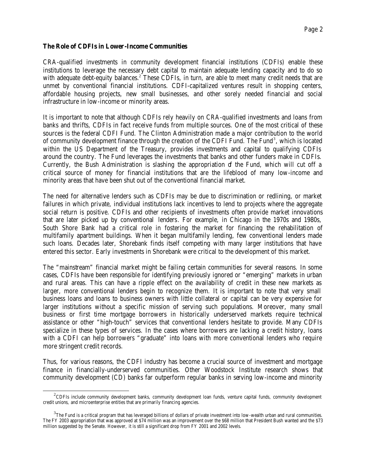#### **The Role of CDFIs in Lower-Income Communities**

l

CRA-qualified investments in community development financial institutions (CDFIs) enable these institutions to leverage the necessary debt capital to maintain adequate lending capacity and to do so with adequate debt-equity balances.<sup>2</sup> These CDFIs, in turn, are able to meet many credit needs that are unmet by conventional financial institutions. CDFI-capitalized ventures result in shopping centers, affordable housing projects, new small businesses, and other sorely needed financial and social infrastructure in low-income or minority areas.

It is important to note that although CDFIs rely heavily on CRA-qualified investments and loans from banks and thrifts, CDFIs in fact receive funds from multiple sources. One of the most critical of these sources is the federal CDFI Fund. The Clinton Administration made a major contribution to the world of community development finance through the creation of the CDFI Fund. The Fund<sup>3</sup>, which is located within the US Department of the Treasury, provides investments and capital to qualifying CDFIs around the country. The Fund leverages the investments that banks and other funders make in CDFIs. Currently, the Bush Administration is slashing the appropriation of the Fund, which will cut off a critical source of money for financial institutions that are the lifeblood of many low-income and minority areas that have been shut out of the conventional financial market.

The need for alternative lenders such as CDFIs may be due to discrimination or redlining, or market failures in which private, individual institutions lack incentives to lend to projects where the aggregate social return is positive. CDFIs and other recipients of investments often provide market innovations that are later picked up by conventional lenders. For example, in Chicago in the 1970s and 1980s, South Shore Bank had a critical role in fostering the market for financing the rehabilitation of multifamily apartment buildings. When it began multifamily lending, few conventional lenders made such loans. Decades later, Shorebank finds itself competing with many larger institutions that have entered this sector. Early investments in Shorebank were critical to the development of this market.

The "mainstream" financial market might be failing certain communities for several reasons. In some cases, CDFIs have been responsible for identifying previously ignored or "emerging" markets in urban and rural areas. This can have a ripple effect on the availability of credit in these new markets as larger, more conventional lenders begin to recognize them. It is important to note that very small business loans and loans to business owners with little collateral or capital can be very expensive for larger institutions without a specific mission of serving such populations. Moreover, many small business or first time mortgage borrowers in historically underserved markets require technical assistance or other "high-touch" services that conventional lenders hesitate to provide. Many CDFIs specialize in these types of services. In the cases where borrowers are lacking a credit history, loans with a CDFI can help borrowers "graduate" into loans with more conventional lenders who require more stringent credit records.

Thus, for various reasons, the CDFI industry has become a crucial source of investment and mortgage finance in financially-underserved communities. Other Woodstock Institute research shows that community development (CD) banks far outperform regular banks in serving low-income and minority

 $\rm ^2$ CDFIs include community development banks, community development loan funds, venture capital funds, community development credit unions, and microenterprise entities that are primarily financing agencies.

 $^3$ The Fund is a critical program that has leveraged billions of dollars of private investment into low-wealth urban and rural communities. The FY 2003 appropriation that was approved at \$74 million was an improvement over the \$68 million that President Bush wanted and the \$73 million suggested by the Senate. However, it is still a significant drop from FY 2001 and 2002 levels.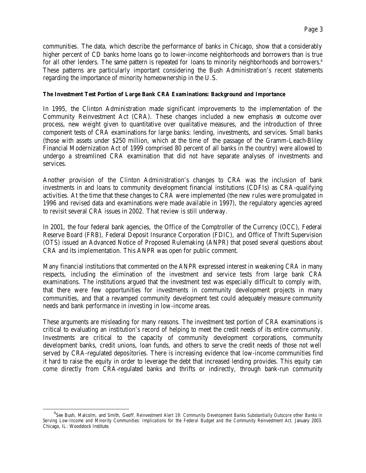communities. The data, which describe the performance of banks in Chicago, show that a considerably higher percent of CD banks home loans go to lower-income neighborhoods and borrowers than is true for all other lenders. The same pattern is repeated for loans to minority neighborhoods and borrowers.<sup>4</sup> These patterns are particularly important considering the Bush Administration's recent statements regarding the importance of minority homeownership in the U.S.

#### **The Investment Test Portion of Large Bank CRA Examinations: Background and Importance**

In 1995, the Clinton Administration made significant improvements to the implementation of the Community Reinvestment Act (CRA). These changes included a new emphasis on outcome over process, new weight given to quantitative over qualitative measures, and the introduction of three component tests of CRA examinations for large banks: lending, investments, and services. Small banks (those with assets under \$250 million, which at the time of the passage of the Gramm-Leach-Bliley Financial Modernization Act of 1999 comprised 80 percent of all banks in the country) were allowed to undergo a streamlined CRA examination that did not have separate analyses of investments and services.

Another provision of the Clinton Administration's changes to CRA was the inclusion of bank investments in and loans to community development financial institutions (CDFIs) as CRA-qualifying activities. At the time that these changes to CRA were implemented (the new rules were promulgated in 1996 and revised data and examinations were made available in 1997), the regulatory agencies agreed to revisit several CRA issues in 2002. That review is still underway.

In 2001, the four federal bank agencies, the Office of the Comptroller of the Currency (OCC), Federal Reserve Board (FRB), Federal Deposit Insurance Corporation (FDIC), and Office of Thrift Supervision (OTS) issued an Advanced Notice of Proposed Rulemaking (ANPR) that posed several questions about CRA and its implementation. This ANPR was open for public comment.

Many financial institutions that commented on the ANPR expressed interest in weakening CRA in many respects, including the elimination of the investment and service tests from large bank CRA examinations. The institutions argued that the investment test was especially difficult to comply with, that there were few opportunities for investments in community development projects in many communities, and that a revamped community development test could adequately measure community needs and bank performance in investing in low-income areas.

These arguments are misleading for many reasons. The investment test portion of CRA examinations is critical to evaluating an institution's record of helping to meet the credit needs of its entire community. Investments are critical to the capacity of community development corporations, community development banks, credit unions, loan funds, and others to serve the credit needs of those not well served by CRA-regulated depositories. There is increasing evidence that low-income communities find it hard to raise the equity in order to leverage the debt that increased lending provides. This equity can come directly from CRA-regulated banks and thrifts or indirectly, through bank-run community

l

<sup>4</sup> See Bush, Malcolm, and Smith, Geoff. *Reinvestment Alert 19: Community Development Banks Substantially Outscore other Banks in Serving Low-Income and Minority Communities: Implications for the Federal Budget and the Community Reinvestment Act*. January 2003. Chicago, IL: Woodstock Institute.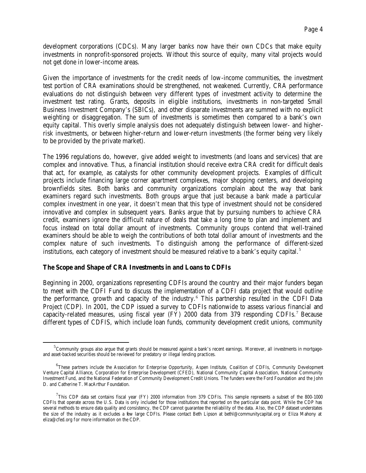development corporations (CDCs). Many larger banks now have their own CDCs that make equity investments in nonprofit-sponsored projects. Without this source of equity, many vital projects would not get done in lower-income areas.

Given the importance of investments for the credit needs of low-income communities, the investment test portion of CRA examinations should be strengthened, not weakened. Currently, CRA performance evaluations do not distinguish between very different types of investment activity to determine the investment test rating. Grants, deposits in eligible institutions, investments in non-targeted Small Business Investment Company's (SBICs), and other disparate investments are summed with no explicit weighting or disaggregation. The sum of investments is sometimes then compared to a bank's own equity capital. This overly simple analysis does not adequately distinguish between lower- and higherrisk investments, or between higher-return and lower-return investments (the former being very likely to be provided by the private market).

The 1996 regulations do, however, give added weight to investments (and loans and services) that are complex and innovative. Thus, a financial institution should receive extra CRA credit for difficult deals that act, for example, as catalysts for other community development projects. Examples of difficult projects include financing large corner apartment complexes, major shopping centers, and developing brownfields sites. Both banks and community organizations complain about the way that bank examiners regard such investments. Both groups argue that just because a bank made a particular complex investment in one year, it doesn't mean that this type of investment should not be considered innovative and complex in subsequent years. Banks argue that by pursuing numbers to achieve CRA credit, examiners ignore the difficult nature of deals that take a long time to plan and implement and focus instead on total dollar amount of investments. Community groups contend that well-trained examiners should be able to weigh the contributions of both total dollar amount of investments and the complex nature of such investments. To distinguish among the performance of different-sized institutions, each category of investment should be measured relative to a bank's equity capital. $5$ 

# **The Scope and Shape of CRA Investments in and Loans to CDFIs**

l

Beginning in 2000, organizations representing CDFIs around the country and their major funders began to meet with the CDFI Fund to discuss the implementation of a CDFI data project that would outline the performance, growth and capacity of the industry.<sup>6</sup> This partnership resulted in the CDFI Data Project (CDP). In 2001, the CDP issued a survey to CDFIs nationwide to assess various financial and capacity-related measures, using fiscal year (FY) 2000 data from 379 responding CDFIs.<sup>7</sup> Because different types of CDFIS, which include loan funds, community development credit unions, community

<sup>&</sup>lt;sup>5</sup> Community groups also argue that grants should be measured against a bank's recent earnings. Moreover, all investments in mortgageand asset-backed securities should be reviewed for predatory or illegal lending practices.

<sup>&</sup>lt;sup>6</sup>These partners include the Association for Enterprise Opportunity, Aspen Institute, Coalition of CDFIs, Community Development Venture Capital Alliance, Corporation for Enterprise Development (CFED), National Community Capital Association, National Community Investment Fund, and the National Federation of Community Development Credit Unions. The funders were the Ford Foundation and the John D. and Catherine T. MacArthur Foundation.

 $^{7}$ This CDP data set contains fiscal year (FY) 2000 information from 379 CDFIs. This sample represents a subset of the 800-1000 CDFIs that operate across the U.S. Data is only included for those institutions that reported on the particular data point. While the CDP has several methods to ensure data quality and consistency, the CDP cannot guarantee the reliability of the data. Also, the CDP dataset understates the size of the industry as it excludes a few large CDFIs. Please contact Beth Lipson at bethl@communitycapital.org or Eliza Mahony at eliza@cfed.org for more information on the CDP.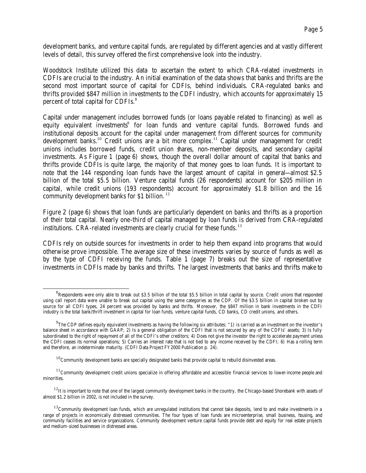development banks, and venture capital funds, are regulated by different agencies and at vastly different levels of detail, this survey offered the first comprehensive look into the industry.

Woodstock Institute utilized this data to ascertain the extent to which CRA-related investments in CDFIs are crucial to the industry. An initial examination of the data shows that banks and thrifts are the second most important source of capital for CDFIs, behind individuals. CRA-regulated banks and thrifts provided \$847 million in investments to the CDFI industry, which accounts for approximately 15 percent of total capital for CDFIs.<sup>8</sup>

Capital under management includes borrowed funds (or loans payable related to financing) as well as equity equivalent investments<sup>9</sup> for loan funds and venture capital funds. Borrowed funds and institutional deposits account for the capital under management from different sources for community development banks.<sup>10</sup> Credit unions are a bit more complex.<sup>11</sup> Capital under management for credit unions includes borrowed funds, credit union shares, non-member deposits, and secondary capital investments. As Figure 1 (page 6) shows, though the overall dollar amount of capital that banks and thrifts provide CDFIs is quite large, the majority of that money goes to loan funds. It is important to note that the 144 responding loan funds have the largest amount of capital in general—almost \$2.5 billion of the total \$5.5 billion. Venture capital funds (26 respondents) account for \$205 million in capital, while credit unions (193 respondents) account for approximately \$1.8 billion and the 16 community development banks for \$1 billion.<sup>12</sup>

Figure 2 (page 6) shows that loan funds are particularly dependent on banks and thrifts as a proportion of their total capital. Nearly one-third of capital managed by loan funds is derived from CRA-regulated institutions. CRA-related investments are clearly crucial for these funds.<sup>13</sup>

CDFIs rely on outside sources for investments in order to help them expand into programs that would otherwise prove impossible. The average size of these investments varies by source of funds as well as by the type of CDFI receiving the funds. Table 1 (page 7) breaks out the size of representative investments in CDFIs made by banks and thrifts. The largest investments that banks and thrifts make to

l

 ${}^{8}$ Respondents were only able to break out \$3.5 billion of the total \$5.5 billion in total capital by source. Credit unions that responded using call report data were unable to break out capital using the same categories as the CDP. Of the \$3.5 billion in capital broken out by source for all CDFI types, 24 percent was provided by banks and thrifts. Moreover, the \$847 million in bank investments in the CDFI industry is the total bank/thrift investment in capital for loan funds, venture capital funds, CD banks, CD credit unions, and others.

 $^{9}$ The CDP defines equity equivalent investments as having the following six attributes: "1) is carried as an investment on the investor's balance sheet in accordance with GAAP; 2) Is a general obligation of the CDFI that is not secured by any of the CDFIs' assets; 3) Is fully subordinated to the right of repayment of all of the CDFI's other creditors; 4) Does not give the investor the right to accelerate payment unless the CDFI ceases its normal operations; 5) Carries an interest rate that is not tied to any income received by the CDFI; 6) Has a rolling term and therefore, an indeterminate maturity. (CDFI Data Project FY2000 Publication p. 24).

 $10$ Community development banks are specially designated banks that provide capital to rebuild disinvested areas.

<sup>&</sup>lt;sup>11</sup> Community development credit unions specialize in offering affordable and accessible financial services to lower-income people and minorities.

 $12$ It is important to note that one of the largest community development banks in the country, the Chicago-based Shorebank with assets of almost \$1.2 billion in 2002, is not included in the survey.

 $13$ Community development loan funds, which are unregulated institutions that cannot take deposits, lend to and make investments in a range of projects in economically distressed communities. The four types of loan funds are microenterprise, small business, housing, and community facilities and service organizations. Community development venture capital funds provide debt and equity for real estate projects and medium-sized businesses in distressed areas.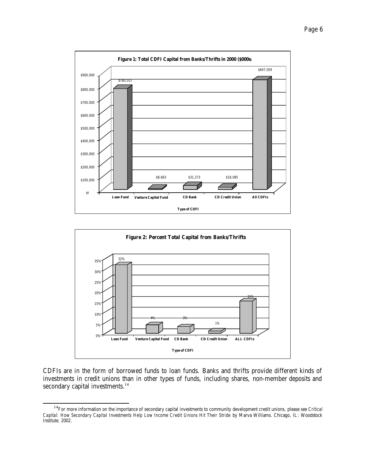



CDFIs are in the form of borrowed funds to loan funds. Banks and thrifts provide different kinds of investments in credit unions than in other types of funds, including shares, non-member deposits and secondary capital investments.<sup>14</sup>

l

<sup>14</sup>For more information on the importance of secondary capital investments to community development credit unions, please see *Critical Capital: How Secondary Capital Investments Help Low Income Credit Unions Hit Their Stride* by Marva Williams. Chicago, IL: Woodstock Institute. 2002.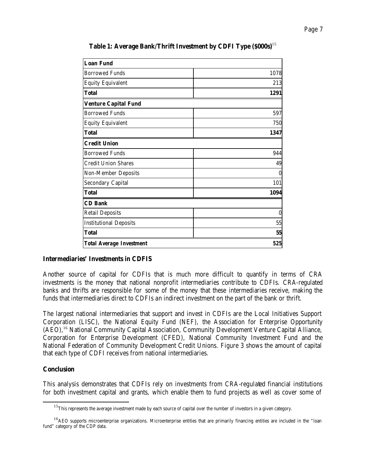| <b>Loan Fund</b>                |                  |
|---------------------------------|------------------|
| <b>Borrowed Funds</b>           | 1078             |
| <b>Equity Equivalent</b>        | 213              |
| <b>Total</b>                    | 1291             |
| <b>Venture Capital Fund</b>     |                  |
| <b>Borrowed Funds</b>           | 597              |
| <b>Equity Equivalent</b>        | 750              |
| <b>Total</b>                    | 1347             |
| <b>Credit Union</b>             |                  |
| <b>Borrowed Funds</b>           | 944              |
| <b>Credit Union Shares</b>      | 49               |
| <b>Non-Member Deposits</b>      | $\boldsymbol{0}$ |
| <b>Secondary Capital</b>        | 101              |
| <b>Total</b>                    | 1094             |
| <b>CD Bank</b>                  |                  |
| <b>Retail Deposits</b>          | $\boldsymbol{0}$ |
| <b>Institutional Deposits</b>   | 55               |
| <b>Total</b>                    | 55               |
| <b>Total Average Investment</b> | 525              |

**Table 1: Average Bank/Thrift Investment by CDFI Type (\$000s)**<sup>15</sup>

# **Intermediaries' Investments in CDFIS**

Another source of capital for CDFIs that is much more difficult to quantify in terms of CRA investments is the money that national nonprofit intermediaries contribute to CDFIs. CRA-regulated banks and thrifts are responsible for some of the money that these intermediaries receive, making the funds that intermediaries direct to CDFIs an indirect investment on the part of the bank or thrift.

The largest national intermediaries that support and invest in CDFIs are the Local Initiatives Support Corporation (LISC), the National Equity Fund (NEF), the Association for Enterprise Opportunity (AEO),<sup>16</sup> National Community Capital Association, Community Development Venture Capital Alliance, Corporation for Enterprise Development (CFED), National Community Investment Fund and the National Federation of Community Development Credit Unions. Figure 3 shows the amount of capital that each type of CDFI receives from national intermediaries.

# **Conclusion**

l

This analysis demonstrates that CDFIs rely on investments from CRA-regulated financial institutions for both investment capital and grants, which enable them to fund projects as well as cover some of

 $15$ This represents the average investment made by each source of capital over the number of investors in a given category.

<sup>&</sup>lt;sup>16</sup>AEO supports microenterprise organizations. Microenterprise entities that are primarily financing entities are included in the "loan fund" category of the CDP data.